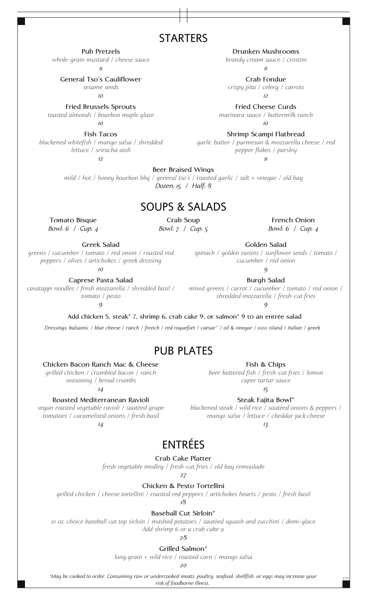# **STARTERS**

**Pub Pretzels**

*whole-grain mustard / cheese sauce 11*

**General Tso's Cauliflower**

*sesame seeds*

*10*

**Fried Brussels Sprouts** *toasted almonds / bourbon maple glaze*

> *10* **Fish Tacos**

*blackened whitefish / mango salsa / shredded lettuce / sriracha aioli*

*12*

**Drunken Mushrooms**

*brandy cream sauce / crostini 11*

**Crab Fondue** *crispy pita / celery / carrots 12*

**Fried Cheese Curds** *marinara sauce / buttermilk ranch*

*10*

**Shrimp Scampi Flatbread** *garlic butter / parmesan & mozzarella cheese / red pepper flakes / parsley*

*11*

**Beer Braised Wings** *mild / hot / honey bourbon bbq / general tso's / roasted garlic / salt + vinegar / old bay Dozen: 15 / Half: 8*

# SOUPS & SALADS

**Tomato Bisque** *Bowl: 6 / Cup: 4*

**Crab Soup** *Bowl: 7 / Cup: 5*

**French Onion** *Bowl: 6 / Cup: 4*

**Greek Salad**

*greens / cucumber / tomato / red onion / roasted red peppers / olives / artichokes / greek dressing*

*10* **Caprese Pasta Salad**

*cavatappi noodles / fresh mozzarella / shredded basil / tomato / pesto*

*9*

**Burgh Salad** *mixed greens / carrot / cucumber / tomato / red onion / shredded mozzarella / fresh-cut fries*

**Golden Salad** *spinach / golden raisins / sunflower seeds / tomato / cucumber / red onion 9*

*9*

**Add chicken 5, steak\* 7, shrimp 6, crab cake 9, or salmon\* 9 to an entrée salad**

*Dressings: balsamic / blue cheese / ranch / french / red roquefort / caesar\* / oil & vinegar / 1000 island / italian / greek*

# PUB PLATES

**Chicken Bacon Ranch Mac & Cheese**

*grilled chicken / crumbled bacon / ranch seasoning / bread crumbs 14*

**Roasted Mediterranean Ravioli**

*vegan roasted vegetable ravioli / sautéed grape tomatoes / caramelized onions / fresh basil 14*

**Fish & Chips**

*beer battered fish / fresh-cut fries / lemon caper tartar sauce*

*15*

**Steak Fajita Bowl\*** *blackened steak / wild rice / sautéed onions & peppers /*

*mango salsa / lettuce / cheddar jack cheese*

*13*

# ENTRÉES

**Crab Cake Platter**

*fresh vegetable medley / fresh-cut fries / old bay remoulade*

*27*

**Chicken & Pesto Tortellini**

*grilled chicken / cheese tortellini / roasted red peppers / artichokes hearts / pesto / fresh basil*

*18*

**Baseball Cut Sirloin\***

*10 oz. choice baseball cut top sirloin / mashed potatoes / sautéed squash and zucchini / demi-glace Add shrimp 6 or a crab cake 9*

*28*

**Grilled Salmon\***

*long grain + wild rice / roasted corn / mango salsa*

*20*

*\*May be cooked to order. Consuming raw or undercooked meats, poultry, seafood, shellfish, or eggs may increase your*

*risk of foodborne illness.*

*5/22*